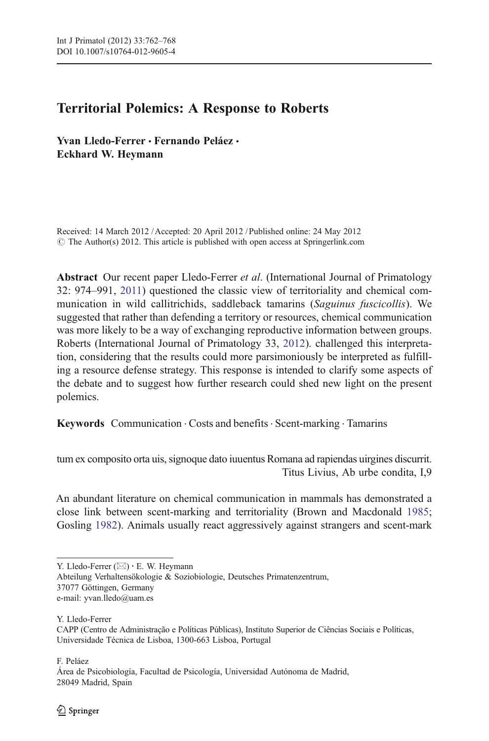# Territorial Polemics: A Response to Roberts

Yvan Lledo-Ferrer • Fernando Peláez • Eckhard W. Heymann

Received: 14 March 2012 / Accepted: 20 April 2012 / Published online: 24 May 2012  $\circ$  The Author(s) 2012. This article is published with open access at Springerlink.com

Abstract Our recent paper Lledo-Ferrer et al. (International Journal of Primatology 32: 974–991, [2011\)](#page-5-0) questioned the classic view of territoriality and chemical communication in wild callitrichids, saddleback tamarins (Saguinus fuscicollis). We suggested that rather than defending a territory or resources, chemical communication was more likely to be a way of exchanging reproductive information between groups. Roberts (International Journal of Primatology 33, [2012](#page-5-0)). challenged this interpretation, considering that the results could more parsimoniously be interpreted as fulfilling a resource defense strategy. This response is intended to clarify some aspects of the debate and to suggest how further research could shed new light on the present polemics.

Keywords Communication . Costs and benefits . Scent-marking . Tamarins

tum ex composito orta uis, signoque dato iuuentus Romana ad rapiendas uirgines discurrit. Titus Livius, Ab urbe condita, I,9

An abundant literature on chemical communication in mammals has demonstrated a close link between scent-marking and territoriality (Brown and Macdonald [1985;](#page-5-0) Gosling [1982\)](#page-5-0). Animals usually react aggressively against strangers and scent-mark

Y. Lledo-Ferrer  $(\boxtimes) \cdot$  E. W. Heymann

Abteilung Verhaltensökologie & Soziobiologie, Deutsches Primatenzentrum, 37077 Göttingen, Germany e-mail: yvan.lledo@uam.es

Y. Lledo-Ferrer

#### F. Peláez Área de Psicobiología, Facultad de Psicología, Universidad Autónoma de Madrid, 28049 Madrid, Spain

CAPP (Centro de Administração e Políticas Públicas), Instituto Superior de Ciências Sociais e Políticas, Universidade Técnica de Lisboa, 1300-663 Lisboa, Portugal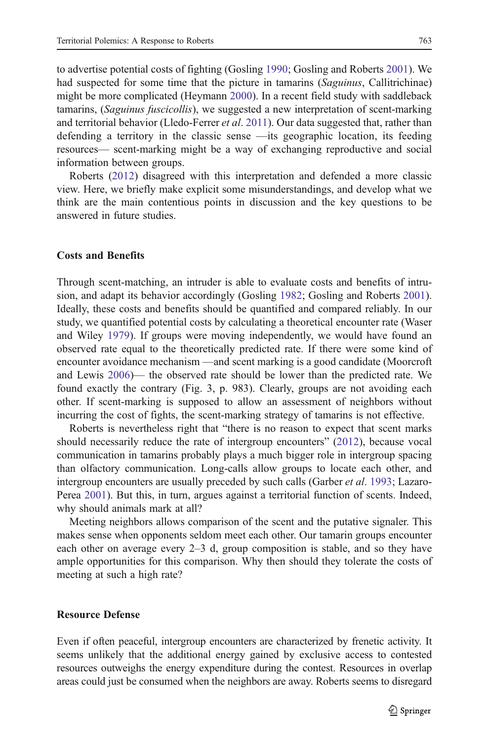to advertise potential costs of fighting (Gosling [1990;](#page-5-0) Gosling and Roberts [2001](#page-5-0)). We had suspected for some time that the picture in tamarins (Saguinus, Callitrichinae) might be more complicated (Heymann [2000\)](#page-5-0). In a recent field study with saddleback tamarins, (Saguinus fuscicollis), we suggested a new interpretation of scent-marking and territorial behavior (Lledo-Ferrer *et al.* [2011\)](#page-5-0). Our data suggested that, rather than defending a territory in the classic sense —its geographic location, its feeding resources— scent-marking might be a way of exchanging reproductive and social information between groups.

Roberts ([2012\)](#page-5-0) disagreed with this interpretation and defended a more classic view. Here, we briefly make explicit some misunderstandings, and develop what we think are the main contentious points in discussion and the key questions to be answered in future studies.

### Costs and Benefits

Through scent-matching, an intruder is able to evaluate costs and benefits of intrusion, and adapt its behavior accordingly (Gosling [1982;](#page-5-0) Gosling and Roberts [2001\)](#page-5-0). Ideally, these costs and benefits should be quantified and compared reliably. In our study, we quantified potential costs by calculating a theoretical encounter rate (Waser and Wiley [1979\)](#page-6-0). If groups were moving independently, we would have found an observed rate equal to the theoretically predicted rate. If there were some kind of encounter avoidance mechanism —and scent marking is a good candidate (Moorcroft and Lewis [2006\)](#page-5-0)— the observed rate should be lower than the predicted rate. We found exactly the contrary (Fig. 3, p. 983). Clearly, groups are not avoiding each other. If scent-marking is supposed to allow an assessment of neighbors without incurring the cost of fights, the scent-marking strategy of tamarins is not effective.

Roberts is nevertheless right that "there is no reason to expect that scent marks should necessarily reduce the rate of intergroup encounters" ([2012\)](#page-5-0), because vocal communication in tamarins probably plays a much bigger role in intergroup spacing than olfactory communication. Long-calls allow groups to locate each other, and intergroup encounters are usually preceded by such calls (Garber *et al.* [1993;](#page-5-0) Lazaro-Perea [2001\)](#page-5-0). But this, in turn, argues against a territorial function of scents. Indeed, why should animals mark at all?

Meeting neighbors allows comparison of the scent and the putative signaler. This makes sense when opponents seldom meet each other. Our tamarin groups encounter each other on average every 2–3 d, group composition is stable, and so they have ample opportunities for this comparison. Why then should they tolerate the costs of meeting at such a high rate?

## Resource Defense

Even if often peaceful, intergroup encounters are characterized by frenetic activity. It seems unlikely that the additional energy gained by exclusive access to contested resources outweighs the energy expenditure during the contest. Resources in overlap areas could just be consumed when the neighbors are away. Roberts seems to disregard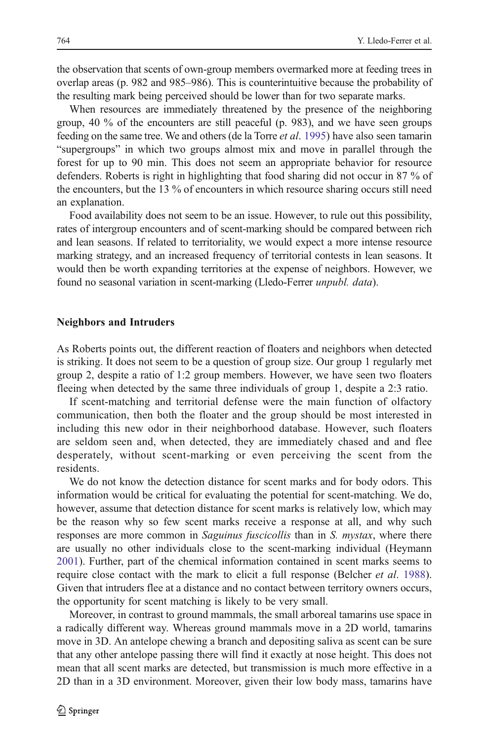the observation that scents of own-group members overmarked more at feeding trees in overlap areas (p. 982 and 985–986). This is counterintuitive because the probability of the resulting mark being perceived should be lower than for two separate marks.

When resources are immediately threatened by the presence of the neighboring group, 40 % of the encounters are still peaceful (p. 983), and we have seen groups feeding on the same tree. We and others (de la Torre et al. [1995](#page-5-0)) have also seen tamarin "supergroups" in which two groups almost mix and move in parallel through the forest for up to 90 min. This does not seem an appropriate behavior for resource defenders. Roberts is right in highlighting that food sharing did not occur in 87 % of the encounters, but the 13 % of encounters in which resource sharing occurs still need an explanation.

Food availability does not seem to be an issue. However, to rule out this possibility, rates of intergroup encounters and of scent-marking should be compared between rich and lean seasons. If related to territoriality, we would expect a more intense resource marking strategy, and an increased frequency of territorial contests in lean seasons. It would then be worth expanding territories at the expense of neighbors. However, we found no seasonal variation in scent-marking (Lledo-Ferrer unpubl. data).

#### Neighbors and Intruders

As Roberts points out, the different reaction of floaters and neighbors when detected is striking. It does not seem to be a question of group size. Our group 1 regularly met group 2, despite a ratio of 1:2 group members. However, we have seen two floaters fleeing when detected by the same three individuals of group 1, despite a 2:3 ratio.

If scent-matching and territorial defense were the main function of olfactory communication, then both the floater and the group should be most interested in including this new odor in their neighborhood database. However, such floaters are seldom seen and, when detected, they are immediately chased and and flee desperately, without scent-marking or even perceiving the scent from the residents.

We do not know the detection distance for scent marks and for body odors. This information would be critical for evaluating the potential for scent-matching. We do, however, assume that detection distance for scent marks is relatively low, which may be the reason why so few scent marks receive a response at all, and why such responses are more common in *Saguinus fuscicollis* than in *S. mystax*, where there are usually no other individuals close to the scent-marking individual (Heymann [2001\)](#page-5-0). Further, part of the chemical information contained in scent marks seems to require close contact with the mark to elicit a full response (Belcher *et al.* [1988\)](#page-5-0). Given that intruders flee at a distance and no contact between territory owners occurs, the opportunity for scent matching is likely to be very small.

Moreover, in contrast to ground mammals, the small arboreal tamarins use space in a radically different way. Whereas ground mammals move in a 2D world, tamarins move in 3D. An antelope chewing a branch and depositing saliva as scent can be sure that any other antelope passing there will find it exactly at nose height. This does not mean that all scent marks are detected, but transmission is much more effective in a 2D than in a 3D environment. Moreover, given their low body mass, tamarins have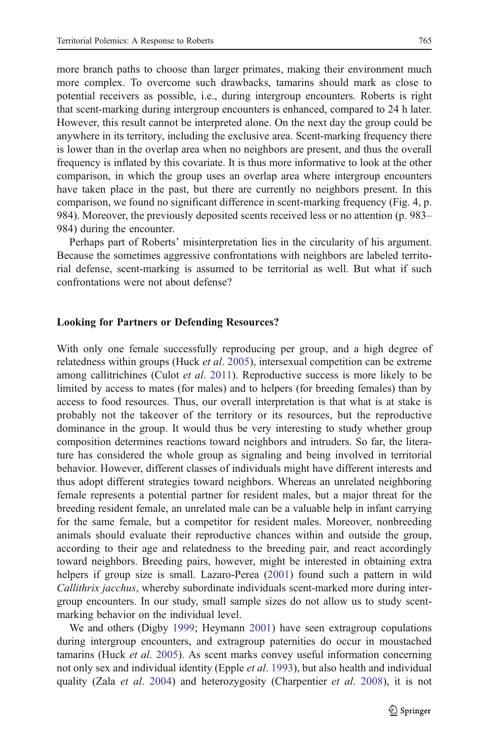more branch paths to choose than larger primates, making their environment much more complex. To overcome such drawbacks, tamarins should mark as close to potential receivers as possible, i.e., during intergroup encounters. Roberts is right that scent-marking during intergroup encounters is enhanced, compared to 24 h later. However, this result cannot be interpreted alone. On the next day the group could be anywhere in its territory, including the exclusive area. Scent-marking frequency there is lower than in the overlap area when no neighbors are present, and thus the overall frequency is inflated by this covariate. It is thus more informative to look at the other comparison, in which the group uses an overlap area where intergroup encounters have taken place in the past, but there are currently no neighbors present. In this comparison, we found no significant difference in scent-marking frequency (Fig. 4, p. 984). Moreover, the previously deposited scents received less or no attention (p. 983– 984) during the encounter.

Perhaps part of Roberts' misinterpretation lies in the circularity of his argument. Because the sometimes aggressive confrontations with neighbors are labeled territorial defense, scent-marking is assumed to be territorial as well. But what if such confrontations were not about defense?

#### Looking for Partners or Defending Resources?

With only one female successfully reproducing per group, and a high degree of relatedness within groups (Huck et al. [2005\)](#page-5-0), intersexual competition can be extreme among callitrichines (Culot et al. [2011\)](#page-5-0). Reproductive success is more likely to be limited by access to mates (for males) and to helpers (for breeding females) than by access to food resources. Thus, our overall interpretation is that what is at stake is probably not the takeover of the territory or its resources, but the reproductive dominance in the group. It would thus be very interesting to study whether group composition determines reactions toward neighbors and intruders. So far, the literature has considered the whole group as signaling and being involved in territorial behavior. However, different classes of individuals might have different interests and thus adopt different strategies toward neighbors. Whereas an unrelated neighboring female represents a potential partner for resident males, but a major threat for the breeding resident female, an unrelated male can be a valuable help in infant carrying for the same female, but a competitor for resident males. Moreover, nonbreeding animals should evaluate their reproductive chances within and outside the group, according to their age and relatedness to the breeding pair, and react accordingly toward neighbors. Breeding pairs, however, might be interested in obtaining extra helpers if group size is small. Lazaro-Perea ([2001\)](#page-5-0) found such a pattern in wild Callithrix jacchus, whereby subordinate individuals scent-marked more during intergroup encounters. In our study, small sample sizes do not allow us to study scentmarking behavior on the individual level.

We and others (Digby [1999;](#page-5-0) Heymann [2001](#page-5-0)) have seen extragroup copulations during intergroup encounters, and extragroup paternities do occur in moustached tamarins (Huck et al. [2005](#page-5-0)). As scent marks convey useful information concerning not only sex and individual identity (Epple *et al.* [1993\)](#page-5-0), but also health and individual quality (Zala *et al.* [2004\)](#page-6-0) and heterozygosity (Charpentier *et al.* [2008](#page-5-0)), it is not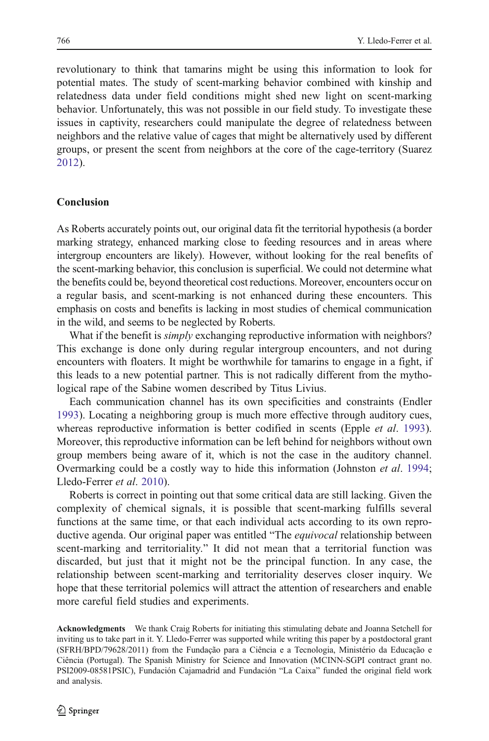revolutionary to think that tamarins might be using this information to look for potential mates. The study of scent-marking behavior combined with kinship and relatedness data under field conditions might shed new light on scent-marking behavior. Unfortunately, this was not possible in our field study. To investigate these issues in captivity, researchers could manipulate the degree of relatedness between neighbors and the relative value of cages that might be alternatively used by different groups, or present the scent from neighbors at the core of the cage-territory (Suarez [2012\)](#page-6-0).

# Conclusion

As Roberts accurately points out, our original data fit the territorial hypothesis (a border marking strategy, enhanced marking close to feeding resources and in areas where intergroup encounters are likely). However, without looking for the real benefits of the scent-marking behavior, this conclusion is superficial. We could not determine what the benefits could be, beyond theoretical cost reductions. Moreover, encounters occur on a regular basis, and scent-marking is not enhanced during these encounters. This emphasis on costs and benefits is lacking in most studies of chemical communication in the wild, and seems to be neglected by Roberts.

What if the benefit is *simply* exchanging reproductive information with neighbors? This exchange is done only during regular intergroup encounters, and not during encounters with floaters. It might be worthwhile for tamarins to engage in a fight, if this leads to a new potential partner. This is not radically different from the mythological rape of the Sabine women described by Titus Livius.

Each communication channel has its own specificities and constraints (Endler [1993\)](#page-5-0). Locating a neighboring group is much more effective through auditory cues, whereas reproductive information is better codified in scents (Epple et al. [1993\)](#page-5-0). Moreover, this reproductive information can be left behind for neighbors without own group members being aware of it, which is not the case in the auditory channel. Overmarking could be a costly way to hide this information (Johnston *et al.* [1994;](#page-5-0) Lledo-Ferrer et al. [2010](#page-5-0)).

Roberts is correct in pointing out that some critical data are still lacking. Given the complexity of chemical signals, it is possible that scent-marking fulfills several functions at the same time, or that each individual acts according to its own reproductive agenda. Our original paper was entitled "The equivocal relationship between scent-marking and territoriality." It did not mean that a territorial function was discarded, but just that it might not be the principal function. In any case, the relationship between scent-marking and territoriality deserves closer inquiry. We hope that these territorial polemics will attract the attention of researchers and enable more careful field studies and experiments.

Acknowledgments We thank Craig Roberts for initiating this stimulating debate and Joanna Setchell for inviting us to take part in it. Y. Lledo-Ferrer was supported while writing this paper by a postdoctoral grant (SFRH/BPD/79628/2011) from the Fundação para a Ciência e a Tecnologia, Ministério da Educação e Ciência (Portugal). The Spanish Ministry for Science and Innovation (MCINN-SGPI contract grant no. PSI2009-08581PSIC), Fundación Cajamadrid and Fundación "La Caixa" funded the original field work and analysis.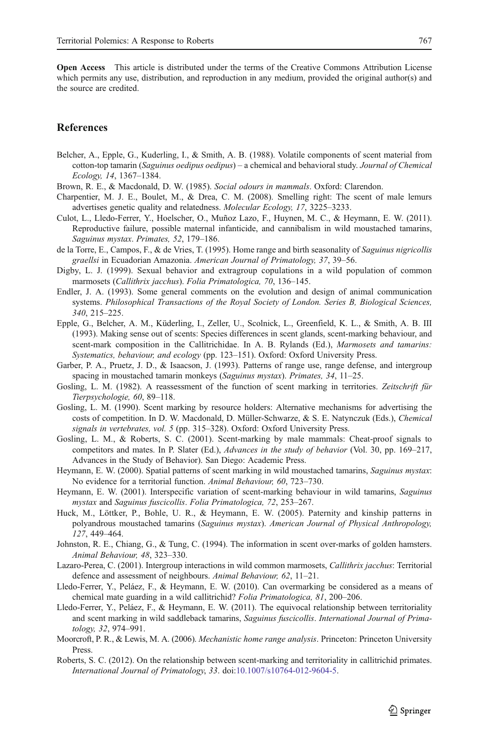<span id="page-5-0"></span>Open Access This article is distributed under the terms of the Creative Commons Attribution License which permits any use, distribution, and reproduction in any medium, provided the original author(s) and the source are credited.

# References

- Belcher, A., Epple, G., Kuderling, I., & Smith, A. B. (1988). Volatile components of scent material from cotton-top tamarin (Saguinus oedipus oedipus) – a chemical and behavioral study. Journal of Chemical Ecology, 14, 1367–1384.
- Brown, R. E., & Macdonald, D. W. (1985). Social odours in mammals. Oxford: Clarendon.
- Charpentier, M. J. E., Boulet, M., & Drea, C. M. (2008). Smelling right: The scent of male lemurs advertises genetic quality and relatedness. Molecular Ecology, 17, 3225–3233.
- Culot, L., Lledo-Ferrer, Y., Hoelscher, O., Muñoz Lazo, F., Huynen, M. C., & Heymann, E. W. (2011). Reproductive failure, possible maternal infanticide, and cannibalism in wild moustached tamarins, Saguinus mystax. Primates, 52, 179–186.
- de la Torre, E., Campos, F., & de Vries, T. (1995). Home range and birth seasonality of Saguinus nigricollis graellsi in Ecuadorian Amazonia. American Journal of Primatology, 37, 39–56.
- Digby, L. J. (1999). Sexual behavior and extragroup copulations in a wild population of common marmosets (Callithrix jacchus). Folia Primatologica, 70, 136–145.
- Endler, J. A. (1993). Some general comments on the evolution and design of animal communication systems. Philosophical Transactions of the Royal Society of London. Series B, Biological Sciences, 340, 215–225.
- Epple, G., Belcher, A. M., Küderling, I., Zeller, U., Scolnick, L., Greenfield, K. L., & Smith, A. B. III (1993). Making sense out of scents: Species differences in scent glands, scent-marking behaviour, and scent-mark composition in the Callitrichidae. In A. B. Rylands (Ed.), Marmosets and tamarins: Systematics, behaviour, and ecology (pp. 123–151). Oxford: Oxford University Press.
- Garber, P. A., Pruetz, J. D., & Isaacson, J. (1993). Patterns of range use, range defense, and intergroup spacing in moustached tamarin monkeys (Saguinus mystax). Primates, 34, 11–25.
- Gosling, L. M. (1982). A reassessment of the function of scent marking in territories. Zeitschrift für Tierpsychologie, 60, 89–118.
- Gosling, L. M. (1990). Scent marking by resource holders: Alternative mechanisms for advertising the costs of competition. In D. W. Macdonald, D. Müller-Schwarze, & S. E. Natynczuk (Eds.), Chemical signals in vertebrates, vol. 5 (pp. 315–328). Oxford: Oxford University Press.
- Gosling, L. M., & Roberts, S. C. (2001). Scent-marking by male mammals: Cheat-proof signals to competitors and mates. In P. Slater (Ed.), Advances in the study of behavior (Vol. 30, pp. 169-217, Advances in the Study of Behavior). San Diego: Academic Press.
- Heymann, E. W. (2000). Spatial patterns of scent marking in wild moustached tamarins, Saguinus mystax: No evidence for a territorial function. Animal Behaviour, 60, 723–730.
- Heymann, E. W. (2001). Interspecific variation of scent-marking behaviour in wild tamarins, Saguinus mystax and Saguinus fuscicollis. Folia Primatologica, 72, 253–267.
- Huck, M., Löttker, P., Bohle, U. R., & Heymann, E. W. (2005). Paternity and kinship patterns in polyandrous moustached tamarins (Saguinus mystax). American Journal of Physical Anthropology, 127, 449–464.
- Johnston, R. E., Chiang, G., & Tung, C. (1994). The information in scent over-marks of golden hamsters. Animal Behaviour, 48, 323–330.
- Lazaro-Perea, C. (2001). Intergroup interactions in wild common marmosets, Callithrix jacchus: Territorial defence and assessment of neighbours. Animal Behaviour, 62, 11–21.
- Lledo-Ferrer, Y., Peláez, F., & Heymann, E. W. (2010). Can overmarking be considered as a means of chemical mate guarding in a wild callitrichid? Folia Primatologica, 81, 200–206.
- Lledo-Ferrer, Y., Peláez, F., & Heymann, E. W. (2011). The equivocal relationship between territoriality and scent marking in wild saddleback tamarins, Saguinus fuscicollis. International Journal of Primatology, 32, 974–991.
- Moorcroft, P. R., & Lewis, M. A. (2006). *Mechanistic home range analysis*. Princeton: Princeton University Press.
- Roberts, S. C. (2012). On the relationship between scent-marking and territoriality in callitrichid primates. International Journal of Primatology, 33. doi[:10.1007/s10764-012-9604-5.](http://dx.doi.org/10.1007/s10764-012-9604-5)